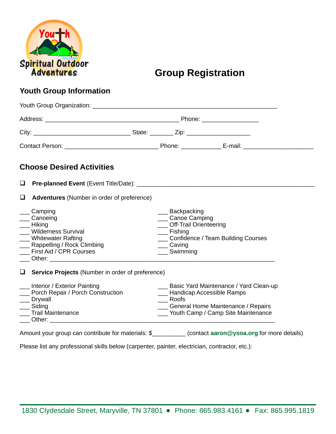

# **Group Registration**

### **Youth Group Information**

|        | <b>Choose Desired Activities</b>                                                                                                                                                                                                                                                                                                                                                                  |                                                                                                           |                                                                                                                                                                     |  |  |  |  |
|--------|---------------------------------------------------------------------------------------------------------------------------------------------------------------------------------------------------------------------------------------------------------------------------------------------------------------------------------------------------------------------------------------------------|-----------------------------------------------------------------------------------------------------------|---------------------------------------------------------------------------------------------------------------------------------------------------------------------|--|--|--|--|
|        |                                                                                                                                                                                                                                                                                                                                                                                                   |                                                                                                           |                                                                                                                                                                     |  |  |  |  |
| $\Box$ | Adventures (Number in order of preference)                                                                                                                                                                                                                                                                                                                                                        |                                                                                                           |                                                                                                                                                                     |  |  |  |  |
|        | ___ Camping<br>Canoeing<br>Hiking<br><b>Wilderness Survival</b><br><b>Whitewater Rafting</b><br>__ Rappelling / Rock Climbing<br><b>First Aid / CPR Courses</b><br>Other: when the contract of the contract of the contract of the contract of the contract of the contract of the contract of the contract of the contract of the contract of the contract of the contract of the contract of th | ___ Backpacking<br>___ Canoe Camping<br>__ Off-Trail Orienteering<br>__ Fishing<br>Caving<br>___ Swimming | __ Confidence / Team Building Courses                                                                                                                               |  |  |  |  |
|        | $\Box$ Service Projects (Number in order of preference)                                                                                                                                                                                                                                                                                                                                           |                                                                                                           |                                                                                                                                                                     |  |  |  |  |
|        | __ Interior / Exterior Painting<br>__ Porch Repair / Porch Construction<br>__ Drywall<br>__ Siding<br><b>Trail Maintenance</b><br>Other: the contract of the contract of the contract of the contract of the contract of the contract of the contract of the contract of the contract of the contract of the contract of the contract of the contract of the con                                  | ___ Roofs                                                                                                 | ___ Basic Yard Maintenance / Yard Clean-up<br><b>LETT</b> Handicap Accessible Ramps<br>General Home Maintenance / Repairs<br>___ Youth Camp / Camp Site Maintenance |  |  |  |  |

Please list any professional skills below (carpenter, painter, electrician, contractor, etc.):